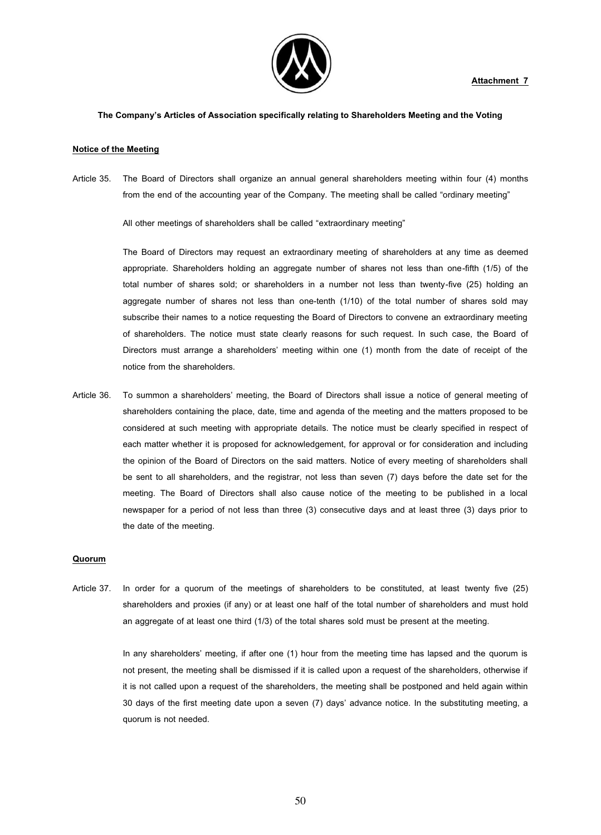

### **The Company's Articles of Association specifically relating to Shareholders Meeting and the Voting**

#### **Notice of the Meeting**

Article 35. The Board of Directors shall organize an annual general shareholders meeting within four (4) months from the end of the accounting year of the Company. The meeting shall be called "ordinary meeting"

All other meetings of shareholders shall be called "extraordinary meeting"

The Board of Directors may request an extraordinary meeting of shareholders at any time as deemed appropriate. Shareholders holding an aggregate number of shares not less than one-fifth (1/5) of the total number of shares sold; or shareholders in a number not less than twenty-five (25) holding an aggregate number of shares not less than one-tenth (1/10) of the total number of shares sold may subscribe their names to a notice requesting the Board of Directors to convene an extraordinary meeting of shareholders. The notice must state clearly reasons for such request. In such case, the Board of Directors must arrange a shareholders' meeting within one (1) month from the date of receipt of the notice from the shareholders.

Article 36. To summon a shareholders' meeting, the Board of Directors shall issue a notice of general meeting of shareholders containing the place, date, time and agenda of the meeting and the matters proposed to be considered at such meeting with appropriate details. The notice must be clearly specified in respect of each matter whether it is proposed for acknowledgement, for approval or for consideration and including the opinion of the Board of Directors on the said matters. Notice of every meeting of shareholders shall be sent to all shareholders, and the registrar, not less than seven (7) days before the date set for the meeting. The Board of Directors shall also cause notice of the meeting to be published in a local newspaper for a period of not less than three (3) consecutive days and at least three (3) days prior to the date of the meeting.

### **Quorum**

Article 37. In order for a quorum of the meetings of shareholders to be constituted, at least twenty five (25) shareholders and proxies (if any) or at least one half of the total number of shareholders and must hold an aggregate of at least one third (1/3) of the total shares sold must be present at the meeting.

> In any shareholders' meeting, if after one (1) hour from the meeting time has lapsed and the quorum is not present, the meeting shall be dismissed if it is called upon a request of the shareholders, otherwise if it is not called upon a request of the shareholders, the meeting shall be postponed and held again within 30 days of the first meeting date upon a seven (7) days' advance notice. In the substituting meeting, a quorum is not needed.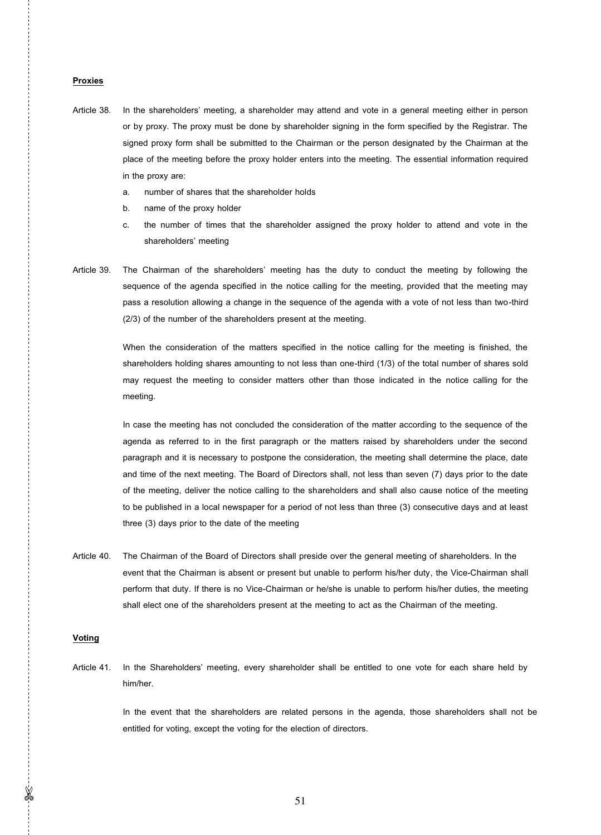# **Proxies**

- Article 38. In the shareholders' meeting, a shareholder may attend and vote in a general meeting either in person or by proxy. The proxy must be done by shareholder signing in the form specified by the Registrar. The signed proxy form shall be submitted to the Chairman or the person designated by the Chairman at the place of the meeting before the proxy holder enters into the meeting. The essential information required in the proxy are:
	- a. number of shares that the shareholder holds
	- b. name of the proxy holder
	- c. the number of times that the shareholder assigned the proxy holder to attend and vote in the shareholders' meeting
- Article 39. The Chairman of the shareholders' meeting has the duty to conduct the meeting by following the sequence of the agenda specified in the notice calling for the meeting, provided that the meeting may pass a resolution allowing a change in the sequence of the agenda with a vote of not less than two-third (2/3) of the number of the shareholders present at the meeting.

 When the consideration of the matters specified in the notice calling for the meeting is finished, the shareholders holding shares amounting to not less than one-third (1/3) of the total number of shares sold may request the meeting to consider matters other than those indicated in the notice calling for the meeting.

 In case the meeting has not concluded the consideration of the matter according to the sequence of the agenda as referred to in the first paragraph or the matters raised by shareholders under the second paragraph and it is necessary to postpone the consideration, the meeting shall determine the place, date and time of the next meeting. The Board of Directors shall, not less than seven (7) days prior to the date of the meeting, deliver the notice calling to the shareholders and shall also cause notice of the meeting to be published in a local newspaper for a period of not less than three (3) consecutive days and at least three (3) days prior to the date of the meeting

Article 40. The Chairman of the Board of Directors shall preside over the general meeting of shareholders. In the event that the Chairman is absent or present but unable to perform his/her duty, the Vice-Chairman shall perform that duty. If there is no Vice-Chairman or he/she is unable to perform his/her duties, the meeting shall elect one of the shareholders present at the meeting to act as the Chairman of the meeting.

# **Voting**

Article 41. In the Shareholders' meeting, every shareholder shall be entitled to one vote for each share held by him/her.

> In the event that the shareholders are related persons in the agenda, those shareholders shall not be entitled for voting, except the voting for the election of directors.